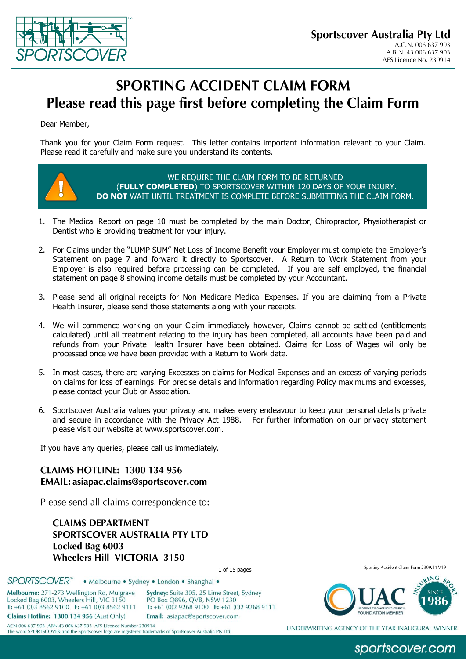

# **SPORTING ACCIDENT CLAIM FORM** Please read this page first before completing the Claim Form

Dear Member,

Thank you for your Claim Form request. This letter contains important information relevant to your Claim. Please read it carefully and make sure you understand its contents.



WE REQUIRE THE CLAIM FORM TO BE RETURNED (**FULLY COMPLETED**) TO SPORTSCOVER WITHIN 120 DAYS OF YOUR INJURY. *<sup>U</sup>***DO NOT***<sup>U</sup>* WAIT UNTIL TREATMENT IS COMPLETE BEFORE SUBMITTING THE CLAIM FORM.

- 1. The Medical Report on page 10 must be completed by the main Doctor, Chiropractor, Physiotherapist or Dentist who is providing treatment for your injury.
- 2. For Claims under the "LUMP SUM" Net Loss of Income Benefit your Employer must complete the Employer's Statement on page 7 and forward it directly to Sportscover. A Return to Work Statement from your Employer is also required before processing can be completed. If you are self employed, the financial statement on page 8 showing income details must be completed by your Accountant.
- 3. Please send all original receipts for Non Medicare Medical Expenses. If you are claiming from a Private Health Insurer, please send those statements along with your receipts.
- 4. We will commence working on your Claim immediately however, Claims cannot be settled (entitlements calculated) until all treatment relating to the injury has been completed, all accounts have been paid and refunds from your Private Health Insurer have been obtained. Claims for Loss of Wages will only be processed once we have been provided with a Return to Work date.
- 5. In most cases, there are varying Excesses on claims for Medical Expenses and an excess of varying periods on claims for loss of earnings. For precise details and information regarding Policy maximums and excesses, please contact your Club or Association.
- 6. Sportscover Australia values your privacy and makes every endeavour to keep your personal details private and secure in accordance with the Privacy Act 1988. For further information on our privacy statement please visit our website at **WWW.sportscover.com**.

If you have any queries, please call us immediately.

**CLAIMS HOTLINE: 1300 134 956 EMAIL: asiapac.claims@sportscover.com** 

Please send all claims correspondence to:

**CLAIMS DEPARTMENT SPORTSCOVER AUSTRALIA PTY LTD** Locked Bag 6003 Wheelers Hill VICTORIA 3150

1 of 15 pages

SPORTSCOVER<sup>\*\*</sup> • Melbourne • Sydney • London • Shanghai •

Melbourne: 271-273 Wellington Rd, Mulgrave Locked Bag 6003, Wheelers Hill, VIC 3150 **T:** +61 (0)3 8562 9100 **F:** +61 (0)3 8562 9111 Claims Hotline: 1300 134 956 (Aust Only)

Sydney: Suite 305, 25 Lime Street, Sydney PO Box Q896, QVB, NSW 1230 T: +61 (0)2 9268 9100 F: +61 (0)2 9268 9111 Email: asiapac@sportscover.com

ACN 006 637 903 ABN 43 006 637 903 AFS Licence Number 230914 The word SPORTSCOVER and the Sportscover logo are registered trademarks of Sportscover Australia Pty Ltd

RING SINCE FOUND ATION MEMBER

Sporting Accident Claim Form 2309.14 V19

UNDERWRITING AGENCY OF THE YEAR INAUGURAL WINNER

## sportscover.com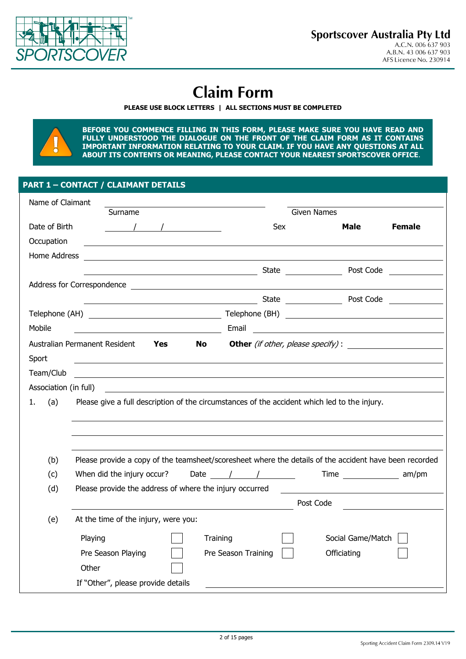

# **Claim Form**

#### **PLEASE USE BLOCK LETTERS | ALL SECTIONS MUST BE COMPLETED**



**BEFORE YOU COMMENCE FILLING IN THIS FORM, PLEASE MAKE SURE YOU HAVE READ AND**  FULLY UNDERSTOOD THE DIALOGUE ON THE FRONT OF THE CLAIM FORM AS IT CONTAINS **IMPORTANT INFORMATION RELATING TO YOUR CLAIM. IF YOU HAVE ANY QUESTIONS AT ALL ABOUT ITS CONTENTS OR MEANING, PLEASE CONTACT YOUR NEAREST SPORTSCOVER OFFICE**.

#### **PART 1 – CONTACT / CLAIMANT DETAILS**

| Name of Claimant      |                                                                                                                                                                                                                                                                                                                     |                     |                                                                                                                                                                                                                                                                                                                                                                                                                                            |               |
|-----------------------|---------------------------------------------------------------------------------------------------------------------------------------------------------------------------------------------------------------------------------------------------------------------------------------------------------------------|---------------------|--------------------------------------------------------------------------------------------------------------------------------------------------------------------------------------------------------------------------------------------------------------------------------------------------------------------------------------------------------------------------------------------------------------------------------------------|---------------|
|                       | Surname                                                                                                                                                                                                                                                                                                             |                     | <b>Given Names</b>                                                                                                                                                                                                                                                                                                                                                                                                                         |               |
| Date of Birth         | $\frac{1}{2}$ $\frac{1}{2}$ $\frac{1}{2}$ $\frac{1}{2}$ $\frac{1}{2}$ $\frac{1}{2}$ $\frac{1}{2}$ $\frac{1}{2}$ $\frac{1}{2}$ $\frac{1}{2}$ $\frac{1}{2}$ $\frac{1}{2}$ $\frac{1}{2}$ $\frac{1}{2}$ $\frac{1}{2}$ $\frac{1}{2}$ $\frac{1}{2}$ $\frac{1}{2}$ $\frac{1}{2}$ $\frac{1}{2}$ $\frac{1}{2}$ $\frac{1}{2}$ | Sex                 | <b>Male</b>                                                                                                                                                                                                                                                                                                                                                                                                                                | <b>Female</b> |
| Occupation            | <u> 1980 - Andrea Andrew Maria (h. 1980).</u>                                                                                                                                                                                                                                                                       |                     |                                                                                                                                                                                                                                                                                                                                                                                                                                            |               |
| Home Address          |                                                                                                                                                                                                                                                                                                                     |                     |                                                                                                                                                                                                                                                                                                                                                                                                                                            |               |
|                       |                                                                                                                                                                                                                                                                                                                     |                     | Post Code<br>State $\frac{1}{\sqrt{1-\frac{1}{\sqrt{1-\frac{1}{\sqrt{1-\frac{1}{\sqrt{1-\frac{1}{\sqrt{1-\frac{1}{\sqrt{1-\frac{1}{\sqrt{1-\frac{1}{\sqrt{1-\frac{1}{\sqrt{1-\frac{1}{\sqrt{1-\frac{1}{\sqrt{1-\frac{1}{\sqrt{1-\frac{1}{\sqrt{1-\frac{1}{\sqrt{1-\frac{1}{\sqrt{1-\frac{1}{\sqrt{1-\frac{1}{\sqrt{1-\frac{1}{\sqrt{1-\frac{1}{\sqrt{1-\frac{1}{\sqrt{1-\frac{1}{\sqrt{1-\frac{1}{\sqrt{1-\frac{1}{\sqrt{1-\frac{1}{\sqrt$ |               |
|                       |                                                                                                                                                                                                                                                                                                                     |                     |                                                                                                                                                                                                                                                                                                                                                                                                                                            |               |
|                       |                                                                                                                                                                                                                                                                                                                     |                     | State Post Code                                                                                                                                                                                                                                                                                                                                                                                                                            |               |
|                       |                                                                                                                                                                                                                                                                                                                     |                     |                                                                                                                                                                                                                                                                                                                                                                                                                                            |               |
| Mobile                |                                                                                                                                                                                                                                                                                                                     | Email               | <u> 1989 - Andrea Barbara, poeta esperanto-poeta esperanto-poeta esperanto-poeta esperanto-poeta esperanto-poeta</u>                                                                                                                                                                                                                                                                                                                       |               |
|                       | <b>Yes</b><br>Australian Permanent Resident<br><b>No</b>                                                                                                                                                                                                                                                            |                     | <b>Other</b> (if other, please specify):                                                                                                                                                                                                                                                                                                                                                                                                   |               |
| Sport                 |                                                                                                                                                                                                                                                                                                                     |                     |                                                                                                                                                                                                                                                                                                                                                                                                                                            |               |
| Team/Club             |                                                                                                                                                                                                                                                                                                                     |                     |                                                                                                                                                                                                                                                                                                                                                                                                                                            |               |
| Association (in full) |                                                                                                                                                                                                                                                                                                                     |                     |                                                                                                                                                                                                                                                                                                                                                                                                                                            |               |
| (a)<br>1.             | Please give a full description of the circumstances of the accident which led to the injury.                                                                                                                                                                                                                        |                     |                                                                                                                                                                                                                                                                                                                                                                                                                                            |               |
|                       |                                                                                                                                                                                                                                                                                                                     |                     |                                                                                                                                                                                                                                                                                                                                                                                                                                            |               |
|                       |                                                                                                                                                                                                                                                                                                                     |                     |                                                                                                                                                                                                                                                                                                                                                                                                                                            |               |
|                       |                                                                                                                                                                                                                                                                                                                     |                     |                                                                                                                                                                                                                                                                                                                                                                                                                                            |               |
| (b)                   | Please provide a copy of the teamsheet/scoresheet where the details of the accident have been recorded                                                                                                                                                                                                              |                     |                                                                                                                                                                                                                                                                                                                                                                                                                                            |               |
| (c)                   | When did the injury occur?                                                                                                                                                                                                                                                                                          | Date $/$ / $/$      | Time am/pm                                                                                                                                                                                                                                                                                                                                                                                                                                 |               |
| (d)                   | Please provide the address of where the injury occurred                                                                                                                                                                                                                                                             |                     |                                                                                                                                                                                                                                                                                                                                                                                                                                            |               |
|                       |                                                                                                                                                                                                                                                                                                                     |                     | Post Code                                                                                                                                                                                                                                                                                                                                                                                                                                  |               |
| (e)                   | At the time of the injury, were you:                                                                                                                                                                                                                                                                                |                     |                                                                                                                                                                                                                                                                                                                                                                                                                                            |               |
|                       | Playing<br>Training                                                                                                                                                                                                                                                                                                 |                     | Social Game/Match                                                                                                                                                                                                                                                                                                                                                                                                                          |               |
|                       | Pre Season Playing                                                                                                                                                                                                                                                                                                  | Pre Season Training | Officiating                                                                                                                                                                                                                                                                                                                                                                                                                                |               |
|                       | Other                                                                                                                                                                                                                                                                                                               |                     |                                                                                                                                                                                                                                                                                                                                                                                                                                            |               |
|                       | If "Other", please provide details                                                                                                                                                                                                                                                                                  |                     |                                                                                                                                                                                                                                                                                                                                                                                                                                            |               |
|                       |                                                                                                                                                                                                                                                                                                                     |                     |                                                                                                                                                                                                                                                                                                                                                                                                                                            |               |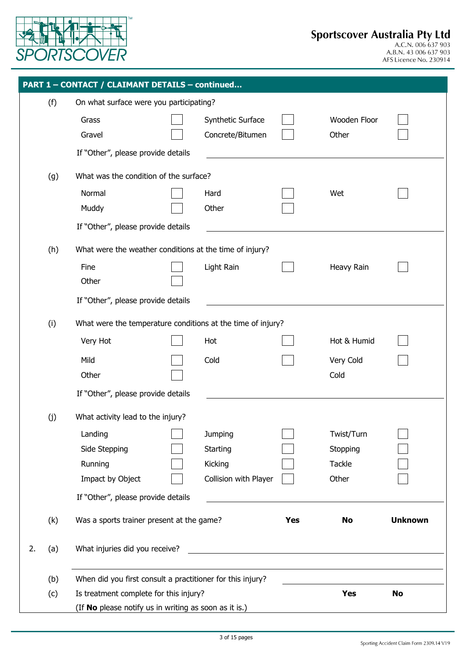

|    |     | PART 1 - CONTACT / CLAIMANT DETAILS - continued             |                                                                                                                      |            |              |                |
|----|-----|-------------------------------------------------------------|----------------------------------------------------------------------------------------------------------------------|------------|--------------|----------------|
|    | (f) | On what surface were you participating?                     |                                                                                                                      |            |              |                |
|    |     | Grass                                                       | Synthetic Surface                                                                                                    |            | Wooden Floor |                |
|    |     | Gravel                                                      | Concrete/Bitumen                                                                                                     |            | Other        |                |
|    |     | If "Other", please provide details                          |                                                                                                                      |            |              |                |
|    | (g) | What was the condition of the surface?                      |                                                                                                                      |            |              |                |
|    |     | Normal                                                      | Hard                                                                                                                 |            | Wet          |                |
|    |     | Muddy                                                       | Other                                                                                                                |            |              |                |
|    |     | If "Other", please provide details                          |                                                                                                                      |            |              |                |
|    | (h) | What were the weather conditions at the time of injury?     |                                                                                                                      |            |              |                |
|    |     | Fine                                                        | Light Rain                                                                                                           |            | Heavy Rain   |                |
|    |     | Other                                                       |                                                                                                                      |            |              |                |
|    |     | If "Other", please provide details                          |                                                                                                                      |            |              |                |
|    | (i) | What were the temperature conditions at the time of injury? |                                                                                                                      |            |              |                |
|    |     | Very Hot                                                    | Hot                                                                                                                  |            | Hot & Humid  |                |
|    |     | Mild                                                        | Cold                                                                                                                 |            | Very Cold    |                |
|    |     | Other                                                       |                                                                                                                      |            | Cold         |                |
|    |     | If "Other", please provide details                          |                                                                                                                      |            |              |                |
|    | (j) | What activity lead to the injury?                           |                                                                                                                      |            |              |                |
|    |     | Landing                                                     | <b>Jumping</b>                                                                                                       |            | Twist/Turn   |                |
|    |     | Side Stepping                                               | Starting                                                                                                             |            | Stopping     |                |
|    |     | Running                                                     | Kicking                                                                                                              |            | Tackle       |                |
|    |     | Impact by Object                                            | Collision with Player                                                                                                |            | Other        |                |
|    |     | If "Other", please provide details                          |                                                                                                                      |            |              |                |
|    | (k) | Was a sports trainer present at the game?                   |                                                                                                                      | <b>Yes</b> | No           | <b>Unknown</b> |
| 2. | (a) | What injuries did you receive?                              | <u> 1980 - Jan Samuel Barbara, martin da shekara 1980 - An tsa a tsa a tsa a tsa a tsa a tsa a tsa a tsa a tsa a</u> |            |              |                |
|    | (b) | When did you first consult a practitioner for this injury?  |                                                                                                                      |            |              |                |
|    | (c) | Is treatment complete for this injury?                      |                                                                                                                      |            | <b>Yes</b>   | <b>No</b>      |
|    |     | (If No please notify us in writing as soon as it is.)       |                                                                                                                      |            |              |                |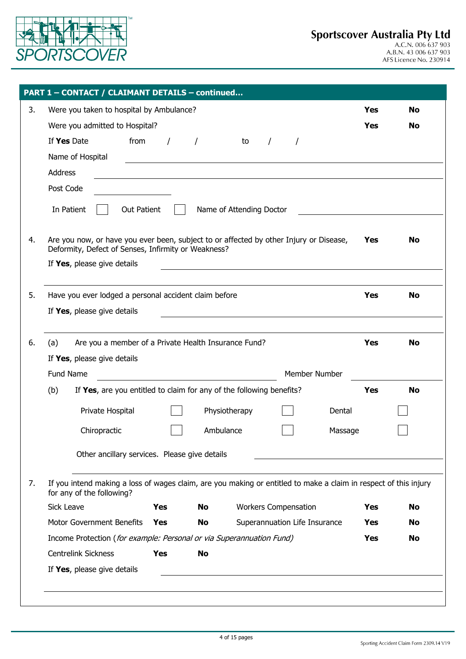

|    | <b>PART 1 - CONTACT / CLAIMANT DETAILS - continued</b>                                                                                        |            |           |                             |          |                               |           |            |           |
|----|-----------------------------------------------------------------------------------------------------------------------------------------------|------------|-----------|-----------------------------|----------|-------------------------------|-----------|------------|-----------|
| 3. | Were you taken to hospital by Ambulance?<br><b>Yes</b><br><b>No</b>                                                                           |            |           |                             |          |                               |           |            |           |
|    | Were you admitted to Hospital?                                                                                                                |            |           |                             |          |                               |           | <b>Yes</b> | No        |
|    | If Yes Date<br>from                                                                                                                           | $\prime$   | $\prime$  | to                          | $\prime$ | $\overline{1}$                |           |            |           |
|    | Name of Hospital                                                                                                                              |            |           |                             |          |                               |           |            |           |
|    | <b>Address</b>                                                                                                                                |            |           |                             |          |                               |           |            |           |
|    | Post Code                                                                                                                                     |            |           |                             |          |                               |           |            |           |
|    | In Patient<br><b>Out Patient</b>                                                                                                              |            |           | Name of Attending Doctor    |          |                               |           |            |           |
|    | Are you now, or have you ever been, subject to or affected by other Injury or Disease,<br>Deformity, Defect of Senses, Infirmity or Weakness? |            |           |                             |          |                               |           | Yes        | No        |
|    | If Yes, please give details                                                                                                                   |            |           |                             |          |                               |           |            |           |
|    | Have you ever lodged a personal accident claim before                                                                                         |            |           |                             |          |                               |           | <b>Yes</b> | <b>No</b> |
|    | If Yes, please give details                                                                                                                   |            |           |                             |          |                               |           |            |           |
|    |                                                                                                                                               |            |           |                             |          |                               |           |            |           |
|    | Are you a member of a Private Health Insurance Fund?<br>(a)                                                                                   |            |           |                             |          |                               |           | <b>Yes</b> | <b>No</b> |
|    | If Yes, please give details                                                                                                                   |            |           |                             |          |                               |           |            |           |
|    | Fund Name<br>Member Number                                                                                                                    |            |           |                             |          |                               |           |            |           |
|    | (b)<br>If Yes, are you entitled to claim for any of the following benefits?                                                                   |            |           |                             |          |                               |           | <b>Yes</b> | <b>No</b> |
|    | Private Hospital                                                                                                                              |            |           | Physiotherapy               |          |                               | Dental    |            |           |
|    | Chiropractic                                                                                                                                  |            |           | Ambulance                   |          |                               | Massage   |            |           |
|    | Other ancillary services. Please give details                                                                                                 |            |           |                             |          |                               |           |            |           |
|    | If you intend making a loss of wages claim, are you making or entitled to make a claim in respect of this injury<br>for any of the following? |            |           |                             |          |                               |           |            |           |
|    | <b>Sick Leave</b>                                                                                                                             | Yes        | <b>No</b> | <b>Workers Compensation</b> |          | Yes                           | <b>No</b> |            |           |
|    | Motor Government Benefits                                                                                                                     | Yes        | No        |                             |          | Superannuation Life Insurance |           | Yes        | No.       |
|    | Income Protection (for example: Personal or via Superannuation Fund)                                                                          |            |           |                             |          |                               |           | Yes        | <b>No</b> |
|    | Centrelink Sickness                                                                                                                           | <b>Yes</b> | <b>No</b> |                             |          |                               |           |            |           |
|    | If Yes, please give details                                                                                                                   |            |           |                             |          |                               |           |            |           |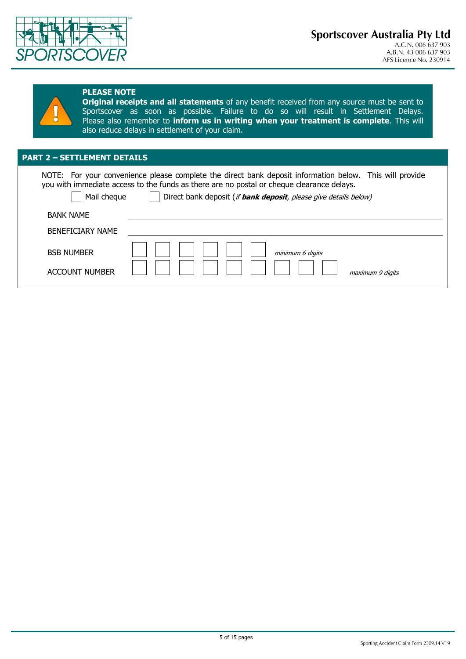



#### **PLEASE NOTE**

**Original receipts and all statements** of any benefit received from any source must be sent to Sportscover as soon as possible. Failure to do so will result in Settlement Delays. Please also remember to **inform us in writing when your treatment is complete**. This will also reduce delays in settlement of your claim.

#### **PART 2 – SETTLEMENT DETAILS**

NOTE: For your convenience please complete the direct bank deposit information below. This will provide you with immediate access to the funds as there are no postal or cheque clearance delays.<br>  $\Box$  Mail shares  $\Box$  Direct hand denote if the position of the position of the interior of the line

| Mail cheque |
|-------------|
|-------------|

Direct bank deposit (if **bank deposit**, please give details below)

| <b>BANK NAME</b><br><b>BENEFICIARY NAME</b> |                  |
|---------------------------------------------|------------------|
| <b>BSB NUMBER</b>                           | minimum 6 digits |
| <b>ACCOUNT NUMBER</b>                       | maximum 9 digits |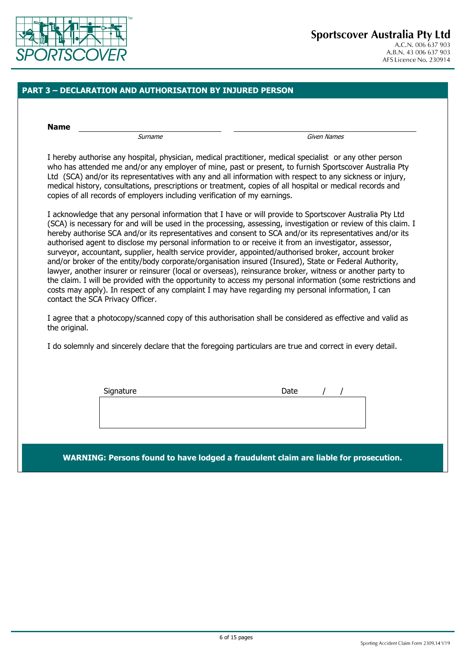

#### **PART 3 – DECLARATION AND AUTHORISATION BY INJURED PERSON**

**Name**

Surname Given Names

I hereby authorise any hospital, physician, medical practitioner, medical specialist or any other person who has attended me and/or any employer of mine, past or present, to furnish Sportscover Australia Pty Ltd (SCA) and/or its representatives with any and all information with respect to any sickness or injury, medical history, consultations, prescriptions or treatment, copies of all hospital or medical records and copies of all records of employers including verification of my earnings.

I acknowledge that any personal information that I have or will provide to Sportscover Australia Pty Ltd (SCA) is necessary for and will be used in the processing, assessing, investigation or review of this claim. I hereby authorise SCA and/or its representatives and consent to SCA and/or its representatives and/or its authorised agent to disclose my personal information to or receive it from an investigator, assessor, surveyor, accountant, supplier, health service provider, appointed/authorised broker, account broker and/or broker of the entity/body corporate/organisation insured (Insured), State or Federal Authority, lawyer, another insurer or reinsurer (local or overseas), reinsurance broker, witness or another party to the claim. I will be provided with the opportunity to access my personal information (some restrictions and costs may apply). In respect of any complaint I may have regarding my personal information, I can contact the SCA Privacy Officer.

I agree that a photocopy/scanned copy of this authorisation shall be considered as effective and valid as the original.

I do solemnly and sincerely declare that the foregoing particulars are true and correct in every detail.

| Signature | Date |  |
|-----------|------|--|
|           |      |  |
|           |      |  |
|           |      |  |
|           |      |  |

**WARNING: Persons found to have lodged a fraudulent claim are liable for prosecution.**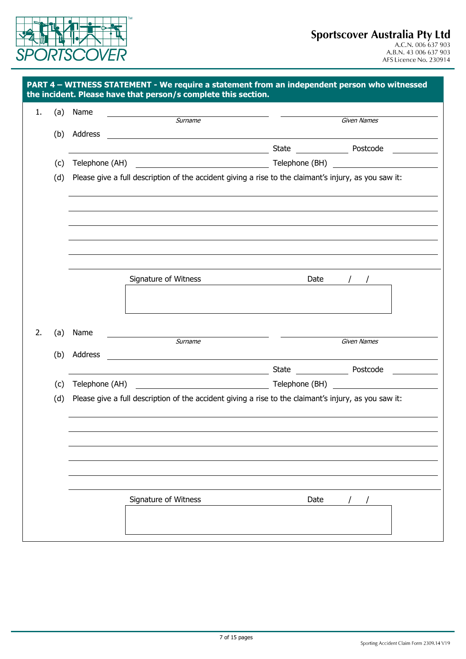

| <b>Given Names</b><br><u> 1980 - Jan Barat, martin amerikan basar dan basa dan basa dan basa dan basa dan basa dan basa dan basa dan b</u><br>State Postcode Postcode<br>Please give a full description of the accident giving a rise to the claimant's injury, as you saw it:<br>Date<br>Given Names<br><u> 1980 - Johann Stein, fransk politik (d. 1980)</u> |
|----------------------------------------------------------------------------------------------------------------------------------------------------------------------------------------------------------------------------------------------------------------------------------------------------------------------------------------------------------------|
|                                                                                                                                                                                                                                                                                                                                                                |
|                                                                                                                                                                                                                                                                                                                                                                |
|                                                                                                                                                                                                                                                                                                                                                                |
|                                                                                                                                                                                                                                                                                                                                                                |
|                                                                                                                                                                                                                                                                                                                                                                |
|                                                                                                                                                                                                                                                                                                                                                                |
|                                                                                                                                                                                                                                                                                                                                                                |
|                                                                                                                                                                                                                                                                                                                                                                |
|                                                                                                                                                                                                                                                                                                                                                                |
|                                                                                                                                                                                                                                                                                                                                                                |
|                                                                                                                                                                                                                                                                                                                                                                |
|                                                                                                                                                                                                                                                                                                                                                                |
|                                                                                                                                                                                                                                                                                                                                                                |
|                                                                                                                                                                                                                                                                                                                                                                |
|                                                                                                                                                                                                                                                                                                                                                                |
|                                                                                                                                                                                                                                                                                                                                                                |
| State Postcode                                                                                                                                                                                                                                                                                                                                                 |
| Telephone (AH) Telephone (BH) Telephone (BH)                                                                                                                                                                                                                                                                                                                   |
|                                                                                                                                                                                                                                                                                                                                                                |
| Please give a full description of the accident giving a rise to the claimant's injury, as you saw it:                                                                                                                                                                                                                                                          |
|                                                                                                                                                                                                                                                                                                                                                                |
|                                                                                                                                                                                                                                                                                                                                                                |
|                                                                                                                                                                                                                                                                                                                                                                |
|                                                                                                                                                                                                                                                                                                                                                                |
|                                                                                                                                                                                                                                                                                                                                                                |
| Date                                                                                                                                                                                                                                                                                                                                                           |
|                                                                                                                                                                                                                                                                                                                                                                |
|                                                                                                                                                                                                                                                                                                                                                                |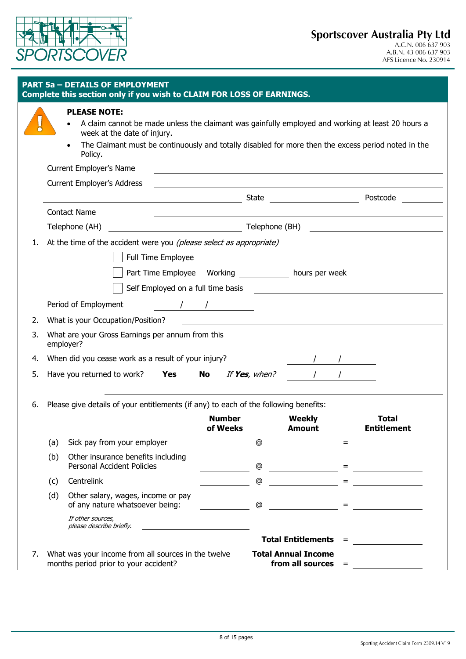

|    |     | <b>PLEASE NOTE:</b><br>A claim cannot be made unless the claimant was gainfully employed and working at least 20 hours a<br>week at the date of injury.<br>The Claimant must be continuously and totally disabled for more then the excess period noted in the |               |               |                                                                                                                                                                                                                                                                                                                                                                                                                                                                                                                                     |                    |
|----|-----|----------------------------------------------------------------------------------------------------------------------------------------------------------------------------------------------------------------------------------------------------------------|---------------|---------------|-------------------------------------------------------------------------------------------------------------------------------------------------------------------------------------------------------------------------------------------------------------------------------------------------------------------------------------------------------------------------------------------------------------------------------------------------------------------------------------------------------------------------------------|--------------------|
|    |     | Policy.                                                                                                                                                                                                                                                        |               |               |                                                                                                                                                                                                                                                                                                                                                                                                                                                                                                                                     |                    |
|    |     | Current Employer's Name                                                                                                                                                                                                                                        |               |               | <u> 1989 - Johann Stoff, deutscher Stoff, der Stoff, der Stoff, der Stoff, der Stoff, der Stoff, der Stoff, der S</u>                                                                                                                                                                                                                                                                                                                                                                                                               |                    |
|    |     | <b>Current Employer's Address</b>                                                                                                                                                                                                                              |               |               |                                                                                                                                                                                                                                                                                                                                                                                                                                                                                                                                     |                    |
|    |     |                                                                                                                                                                                                                                                                |               |               |                                                                                                                                                                                                                                                                                                                                                                                                                                                                                                                                     |                    |
|    |     | <b>Contact Name</b><br>Telephone (AH) Telephone (BH) Telephone (BH)                                                                                                                                                                                            |               |               |                                                                                                                                                                                                                                                                                                                                                                                                                                                                                                                                     |                    |
|    |     |                                                                                                                                                                                                                                                                |               |               |                                                                                                                                                                                                                                                                                                                                                                                                                                                                                                                                     |                    |
| 1. |     | At the time of the accident were you (please select as appropriate)                                                                                                                                                                                            |               |               |                                                                                                                                                                                                                                                                                                                                                                                                                                                                                                                                     |                    |
|    |     | Full Time Employee                                                                                                                                                                                                                                             |               |               |                                                                                                                                                                                                                                                                                                                                                                                                                                                                                                                                     |                    |
|    |     | Part Time Employee Working hours per week                                                                                                                                                                                                                      |               |               |                                                                                                                                                                                                                                                                                                                                                                                                                                                                                                                                     |                    |
|    |     | Self Employed on a full time basis                                                                                                                                                                                                                             |               |               |                                                                                                                                                                                                                                                                                                                                                                                                                                                                                                                                     |                    |
|    |     | Period of Employment                                                                                                                                                                                                                                           |               |               |                                                                                                                                                                                                                                                                                                                                                                                                                                                                                                                                     |                    |
| 2. |     | What is your Occupation/Position?                                                                                                                                                                                                                              |               |               |                                                                                                                                                                                                                                                                                                                                                                                                                                                                                                                                     |                    |
| 3. |     | What are your Gross Earnings per annum from this<br>employer?                                                                                                                                                                                                  |               |               |                                                                                                                                                                                                                                                                                                                                                                                                                                                                                                                                     |                    |
| 4. |     | When did you cease work as a result of your injury?                                                                                                                                                                                                            |               |               |                                                                                                                                                                                                                                                                                                                                                                                                                                                                                                                                     |                    |
| 5. |     | Have you returned to work? <b>Yes</b>                                                                                                                                                                                                                          | <b>No</b>     | If Yes, when? |                                                                                                                                                                                                                                                                                                                                                                                                                                                                                                                                     |                    |
|    |     | Please give details of your entitlements (if any) to each of the following benefits:                                                                                                                                                                           |               |               |                                                                                                                                                                                                                                                                                                                                                                                                                                                                                                                                     |                    |
| 6. |     |                                                                                                                                                                                                                                                                | <b>Number</b> |               | <b>Weekly</b>                                                                                                                                                                                                                                                                                                                                                                                                                                                                                                                       | <b>Total</b>       |
|    |     |                                                                                                                                                                                                                                                                | of Weeks      |               | <b>Amount</b>                                                                                                                                                                                                                                                                                                                                                                                                                                                                                                                       | <b>Entitlement</b> |
|    | (a) | Sick pay from your employer                                                                                                                                                                                                                                    |               | $^\copyright$ |                                                                                                                                                                                                                                                                                                                                                                                                                                                                                                                                     |                    |
|    | (b) | Other insurance benefits including<br><b>Personal Accident Policies</b>                                                                                                                                                                                        |               | @             | $\begin{aligned} \underline{\hspace{1cm}}\quad \  \  \, \underline{\hspace{1cm}}\quad \  \  \, \underline{\hspace{1cm}}\quad \  \  \, \underline{\hspace{1cm}}\quad \  \  \, \underline{\hspace{1cm}}\quad \  \  \, \underline{\hspace{1cm}}\quad \  \  \, \underline{\hspace{1cm}}\quad \  \  \, \underline{\hspace{1cm}}\quad \  \  \, \underline{\hspace{1cm}}\quad \  \  \, \underline{\hspace{1cm}}\quad \  \  \, \underline{\hspace{1cm}}\quad \  \  \, \underline{\hspace{1cm}}\quad \  \  \, \underline{\hspace{1cm}}\quad$ |                    |
|    | (c) | Centrelink                                                                                                                                                                                                                                                     |               | @             |                                                                                                                                                                                                                                                                                                                                                                                                                                                                                                                                     |                    |
|    | (d) | Other salary, wages, income or pay<br>of any nature whatsoever being:                                                                                                                                                                                          |               | @             | <u> 1999년 - 대한민국 부모 대한민국 대학교 (1999년 - 1999년 - 1999년 - 1999년 - 1999년 - 1999년 - 1999년 - 1999년 - 1999년 - 1999년 - 19</u>                                                                                                                                                                                                                                                                                                                                                                                                                |                    |
|    |     | If other sources,<br>please describe briefly.                                                                                                                                                                                                                  |               |               |                                                                                                                                                                                                                                                                                                                                                                                                                                                                                                                                     |                    |
|    |     |                                                                                                                                                                                                                                                                |               |               | <b>Total Entitlements = Example 2018</b>                                                                                                                                                                                                                                                                                                                                                                                                                                                                                            |                    |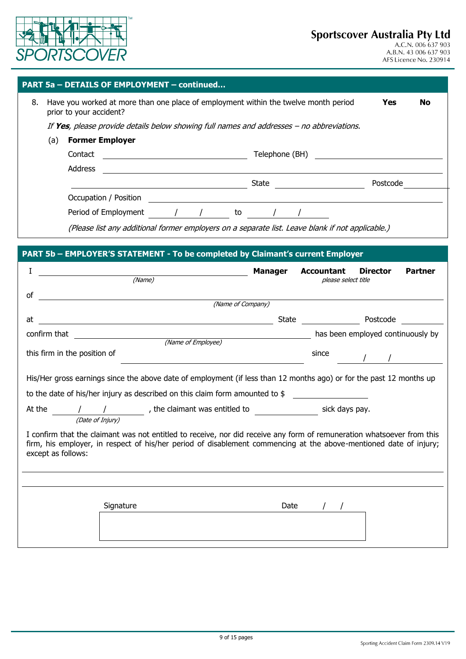

|                                                                                                                      |     | <b>PART 5a - DETAILS OF EMPLOYMENT - continued</b>                                        |  |  |    |       |                |          |  |
|----------------------------------------------------------------------------------------------------------------------|-----|-------------------------------------------------------------------------------------------|--|--|----|-------|----------------|----------|--|
| Have you worked at more than one place of employment within the twelve month period<br>8.<br>prior to your accident? |     |                                                                                           |  |  |    |       | <b>Yes</b>     | No       |  |
|                                                                                                                      |     | If Yes, please provide details below showing full names and addresses - no abbreviations. |  |  |    |       |                |          |  |
|                                                                                                                      | (a) | <b>Former Employer</b>                                                                    |  |  |    |       |                |          |  |
|                                                                                                                      |     | Contact                                                                                   |  |  |    |       | Telephone (BH) |          |  |
|                                                                                                                      |     | <b>Address</b>                                                                            |  |  |    |       |                |          |  |
|                                                                                                                      |     |                                                                                           |  |  |    | State |                | Postcode |  |
|                                                                                                                      |     | Occupation / Position                                                                     |  |  |    |       |                |          |  |
|                                                                                                                      |     | Period of Employment                                                                      |  |  | to |       |                |          |  |
|                                                                                                                      |     |                                                                                           |  |  |    |       |                |          |  |

(Please list any additional former employers on a separate list. Leave blank if not applicable.)

#### **PART 5b – EMPLOYER'S STATEMENT - To be completed by Claimant's current Employer**

| (Name)                                                                                                                                                                                                                                                            | <b>Manager</b> | <b>Accountant</b><br>please select title | <b>Director</b>                   | <b>Partner</b> |
|-------------------------------------------------------------------------------------------------------------------------------------------------------------------------------------------------------------------------------------------------------------------|----------------|------------------------------------------|-----------------------------------|----------------|
| of<br><u> 1980 - Jan Stein Stein Stein Stein Stein Stein Stein Stein Stein Stein Stein Stein Stein Stein Stein Stein S</u>                                                                                                                                        |                |                                          |                                   |                |
| (Name of Company)                                                                                                                                                                                                                                                 |                |                                          |                                   |                |
| at                                                                                                                                                                                                                                                                |                |                                          |                                   |                |
| confirm that<br>(Name of Employee)                                                                                                                                                                                                                                |                |                                          | has been employed continuously by |                |
| this firm in the position of                                                                                                                                                                                                                                      |                | since                                    |                                   |                |
| His/Her gross earnings since the above date of employment (if less than 12 months ago) or for the past 12 months up<br>to the date of his/her injury as described on this claim form amounted to $$$                                                              |                |                                          |                                   |                |
| / / / / the claimant was entitled to _ _ _ _ _ _ _ _ _ _ sick days pay.<br>At the<br>(Date of Injury)                                                                                                                                                             |                |                                          |                                   |                |
| I confirm that the claimant was not entitled to receive, nor did receive any form of remuneration whatsoever from this<br>firm, his employer, in respect of his/her period of disablement commencing at the above-mentioned date of injury;<br>except as follows: |                |                                          |                                   |                |
|                                                                                                                                                                                                                                                                   |                |                                          |                                   |                |
| Signature                                                                                                                                                                                                                                                         | Date           |                                          |                                   |                |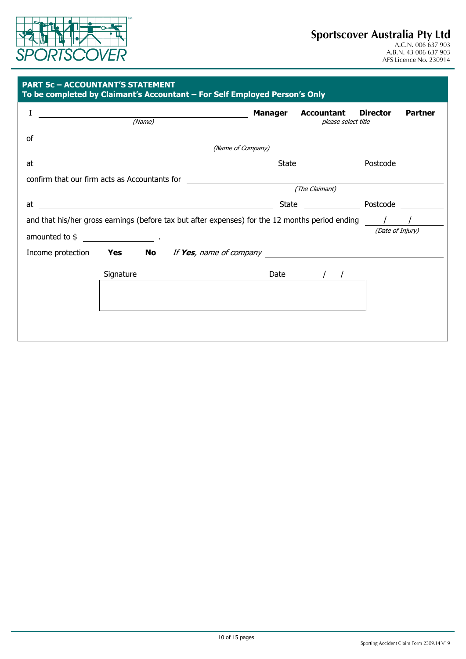

### **PART 5c – ACCOUNTANT'S STATEMENT**

| I                                             |           |                                                                                                   | <b>Manager Accountant</b> | <b>Director</b>  | <b>Partner</b> |
|-----------------------------------------------|-----------|---------------------------------------------------------------------------------------------------|---------------------------|------------------|----------------|
|                                               |           | (Name)                                                                                            | please select title       |                  |                |
| of                                            |           | <u> 1989 - Andrea Station, Amerikaansk politiker (</u>                                            |                           |                  |                |
|                                               |           | (Name of Company)                                                                                 |                           |                  |                |
|                                               |           |                                                                                                   |                           |                  |                |
| confirm that our firm acts as Accountants for |           | <u> 1980 - Andrea Station Barbara, amerikan personal (h. 1980).</u>                               |                           |                  |                |
|                                               |           |                                                                                                   | (The Claimant)            |                  |                |
|                                               |           |                                                                                                   | State Postcode            |                  |                |
|                                               |           | and that his/her gross earnings (before tax but after expenses) for the 12 months period ending / |                           |                  |                |
|                                               |           |                                                                                                   |                           | (Date of Injury) |                |
|                                               |           | Income protection <b>Yes</b> No If Yes, name of company ______________________________            |                           |                  |                |
|                                               | Signature |                                                                                                   | Date $/ /$                |                  |                |
|                                               |           |                                                                                                   |                           |                  |                |
|                                               |           |                                                                                                   |                           |                  |                |
|                                               |           |                                                                                                   |                           |                  |                |
|                                               |           |                                                                                                   |                           |                  |                |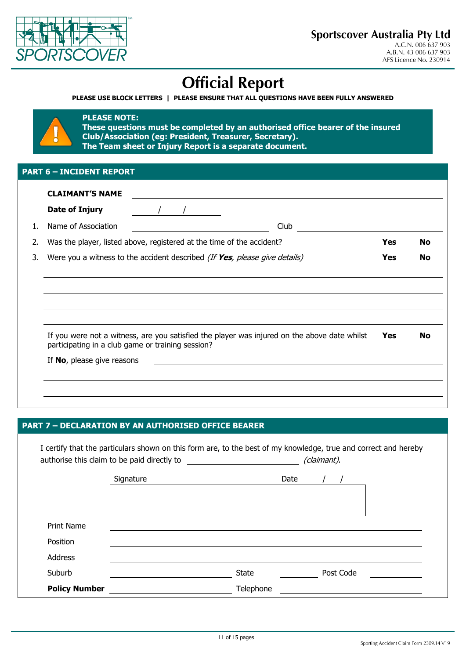

# **Official Report**

**PLEASE USE BLOCK LETTERS | PLEASE ENSURE THAT ALL QUESTIONS HAVE BEEN FULLY ANSWERED**

#### **PLEASE NOTE:**

**These questions must be completed by an authorised office bearer of the insured Club/Association (eg: President, Treasurer, Secretary). The Team sheet or Injury Report is a separate document.**

#### **PART 6 – INCIDENT REPORT**

|    | <b>CLAIMANT'S NAME</b>                            |                                                                                              |            |           |
|----|---------------------------------------------------|----------------------------------------------------------------------------------------------|------------|-----------|
|    | <b>Date of Injury</b>                             |                                                                                              |            |           |
| 1. | Name of Association                               | Club                                                                                         |            |           |
| 2. |                                                   | Was the player, listed above, registered at the time of the accident?                        | Yes        | No        |
| 3. |                                                   | Were you a witness to the accident described <i>(If Yes, please give details)</i>            | <b>Yes</b> | <b>No</b> |
|    |                                                   |                                                                                              |            |           |
|    |                                                   |                                                                                              |            |           |
|    |                                                   |                                                                                              |            |           |
|    |                                                   |                                                                                              |            |           |
|    | participating in a club game or training session? | If you were not a witness, are you satisfied the player was injured on the above date whilst | <b>Yes</b> | No        |
|    | If No, please give reasons                        |                                                                                              |            |           |
|    |                                                   |                                                                                              |            |           |

#### **PART 7 – DECLARATION BY AN AUTHORISED OFFICE BEARER**

|                      | authorise this claim to be paid directly to | <u> 1989 - Johann Maria Barbara, martx</u> | (claimant). |           |  |
|----------------------|---------------------------------------------|--------------------------------------------|-------------|-----------|--|
|                      | Signature                                   |                                            | Date        |           |  |
|                      |                                             |                                            |             |           |  |
|                      |                                             |                                            |             |           |  |
| <b>Print Name</b>    |                                             |                                            |             |           |  |
| Position             |                                             |                                            |             |           |  |
| <b>Address</b>       |                                             |                                            |             |           |  |
| Suburb               |                                             | <b>State</b>                               |             | Post Code |  |
| <b>Policy Number</b> |                                             | Telephone                                  |             |           |  |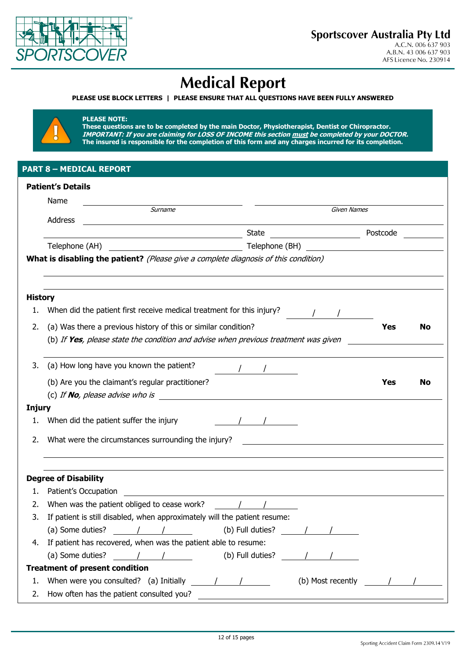

# **Medical Report**

#### **PLEASE USE BLOCK LETTERS | PLEASE ENSURE THAT ALL QUESTIONS HAVE BEEN FULLY ANSWERED**



#### **PLEASE NOTE:**

**These questions are to be completed by the main Doctor, Physiotherapist, Dentist or Chiropractor. IMPORTANT: If you are claiming for LOSS OF INCOME this section** *U***must***<sup>U</sup>* **be completed by your DOCTOR. The insured is responsible for the completion of this form and any charges incurred for its completion.**

#### **PART 8 – MEDICAL REPORT**

|    | <b>Patient's Details</b>                                                                                                                                                                                                                                                                                                                                                                                                                            |                  |  |
|----|-----------------------------------------------------------------------------------------------------------------------------------------------------------------------------------------------------------------------------------------------------------------------------------------------------------------------------------------------------------------------------------------------------------------------------------------------------|------------------|--|
|    | Name<br><i><u>Surname</u></i>                                                                                                                                                                                                                                                                                                                                                                                                                       |                  |  |
|    |                                                                                                                                                                                                                                                                                                                                                                                                                                                     | Given Names      |  |
|    | Address<br>State<br><u> 1990 - Johann Barbara, martin a</u>                                                                                                                                                                                                                                                                                                                                                                                         | Postcode         |  |
|    | <u> 1989 - Johann Barnett, fransk politiker (d. 19</u>                                                                                                                                                                                                                                                                                                                                                                                              |                  |  |
|    | What is disabling the patient? (Please give a complete diagnosis of this condition)                                                                                                                                                                                                                                                                                                                                                                 |                  |  |
|    |                                                                                                                                                                                                                                                                                                                                                                                                                                                     |                  |  |
|    |                                                                                                                                                                                                                                                                                                                                                                                                                                                     |                  |  |
| 1. | <b>History</b><br>When did the patient first receive medical treatment for this injury?                                                                                                                                                                                                                                                                                                                                                             |                  |  |
| 2. | (a) Was there a previous history of this or similar condition?                                                                                                                                                                                                                                                                                                                                                                                      | Yes<br><b>No</b> |  |
|    | (b) If Yes, please state the condition and advise when previous treatment was given                                                                                                                                                                                                                                                                                                                                                                 |                  |  |
|    |                                                                                                                                                                                                                                                                                                                                                                                                                                                     |                  |  |
| 3. | (a) How long have you known the patient?                                                                                                                                                                                                                                                                                                                                                                                                            |                  |  |
|    | (b) Are you the claimant's regular practitioner?                                                                                                                                                                                                                                                                                                                                                                                                    | Yes<br>No        |  |
|    | (c) If <b>No</b> , please advise who is $\frac{1}{2}$ <b>No.</b> The set of the set of the set of the set of the set of the set of the set of the set of the set of the set of the set of the set of the set of the set of the set of the se                                                                                                                                                                                                        |                  |  |
|    | <b>Injury</b>                                                                                                                                                                                                                                                                                                                                                                                                                                       |                  |  |
| 1. | When did the patient suffer the injury<br>$\frac{1}{2}$                                                                                                                                                                                                                                                                                                                                                                                             |                  |  |
| 2. | What were the circumstances surrounding the injury?                                                                                                                                                                                                                                                                                                                                                                                                 |                  |  |
|    |                                                                                                                                                                                                                                                                                                                                                                                                                                                     |                  |  |
|    | <b>Degree of Disability</b>                                                                                                                                                                                                                                                                                                                                                                                                                         |                  |  |
| 1. | Patient's Occupation                                                                                                                                                                                                                                                                                                                                                                                                                                |                  |  |
| 2. | When was the patient obliged to cease work?                                                                                                                                                                                                                                                                                                                                                                                                         |                  |  |
| 3. | If patient is still disabled, when approximately will the patient resume:                                                                                                                                                                                                                                                                                                                                                                           |                  |  |
|    | (a) Some duties? $\begin{array}{ c c c c c c }\n\hline\n& & & & \\ \hline\n& & & & \\ \hline\n& & & & \\ \hline\n& & & & \\ \hline\n& & & & \\ \hline\n& & & & \\ \hline\n& & & & \\ \hline\n& & & & \\ \hline\n& & & & \\ \hline\n& & & & \\ \hline\n& & & & \\ \hline\n& & & & \\ \hline\n& & & & \\ \hline\n& & & & \\ \hline\n& & & & \\ \hline\n& & & & \\ \hline\n& & & & \\ \hline\n& & & & \\ \hline\n& & & & \\ \hline\n& & & & \\ \hline$ |                  |  |
| 4. | If patient has recovered, when was the patient able to resume:                                                                                                                                                                                                                                                                                                                                                                                      |                  |  |
|    | (b) Full duties?<br>(a) Some duties?<br>$\begin{array}{ccc} \end{array}$                                                                                                                                                                                                                                                                                                                                                                            |                  |  |
|    | <b>Treatment of present condition</b>                                                                                                                                                                                                                                                                                                                                                                                                               |                  |  |
| 1. | (b) Most recently<br>When were you consulted? (a) Initially                                                                                                                                                                                                                                                                                                                                                                                         |                  |  |
| 2. | How often has the patient consulted you?                                                                                                                                                                                                                                                                                                                                                                                                            |                  |  |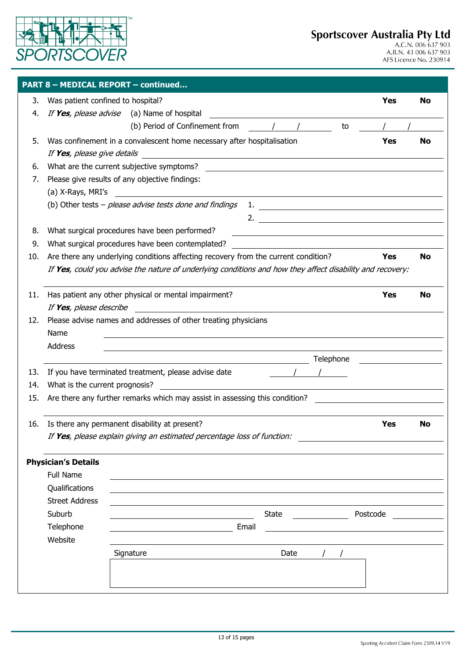

|     |                                                | <b>PART 8 - MEDICAL REPORT - continued</b>                                                                                                                             |            |           |  |  |  |
|-----|------------------------------------------------|------------------------------------------------------------------------------------------------------------------------------------------------------------------------|------------|-----------|--|--|--|
| 3.  | Was patient confined to hospital?              |                                                                                                                                                                        | <b>Yes</b> | <b>No</b> |  |  |  |
| 4.  |                                                | If Yes, please advise (a) Name of hospital                                                                                                                             |            |           |  |  |  |
|     |                                                | (b) Period of Confinement from<br>to                                                                                                                                   |            |           |  |  |  |
| 5.  |                                                | Was confinement in a convalescent home necessary after hospitalisation                                                                                                 | <b>Yes</b> | <b>No</b> |  |  |  |
|     | If Yes, please give details                    | <u> 1980 - Andrea Andrew Maria (h. 1980).</u>                                                                                                                          |            |           |  |  |  |
| 6.  |                                                | What are the current subjective symptoms?                                                                                                                              |            |           |  |  |  |
| 7.  | Please give results of any objective findings: |                                                                                                                                                                        |            |           |  |  |  |
|     | (a) X-Rays, MRI's                              | <u> 1989 - Jan Stern Harry Harry Harry Harry Harry Harry Harry Harry Harry Harry Harry Harry Harry Harry Harry Har</u>                                                 |            |           |  |  |  |
|     |                                                | (b) Other tests - please advise tests done and findings                                                                                                                |            |           |  |  |  |
|     |                                                | 2. $\qquad \qquad$                                                                                                                                                     |            |           |  |  |  |
| 8.  |                                                | What surgical procedures have been performed?<br><u> 1980 - Johann Barn, mars ann an t-Amhain Aonaich an t-Aonaich an t-Aonaich an t-Aonaich an t-Aonaich an t-Aon</u> |            |           |  |  |  |
| 9.  |                                                | What surgical procedures have been contemplated?<br><u> 1989 - Andrea Andrew Maria (h. 1989).</u>                                                                      |            |           |  |  |  |
| 10. |                                                | Are there any underlying conditions affecting recovery from the current condition?                                                                                     | <b>Yes</b> | <b>No</b> |  |  |  |
|     |                                                | If Yes, could you advise the nature of underlying conditions and how they affect disability and recovery:                                                              |            |           |  |  |  |
|     |                                                |                                                                                                                                                                        |            |           |  |  |  |
| 11. |                                                | Has patient any other physical or mental impairment?                                                                                                                   | <b>Yes</b> | <b>No</b> |  |  |  |
|     | If Yes, please describe                        |                                                                                                                                                                        |            |           |  |  |  |
| 12. |                                                | Please advise names and addresses of other treating physicians                                                                                                         |            |           |  |  |  |
|     | Name                                           |                                                                                                                                                                        |            |           |  |  |  |
|     | Address                                        |                                                                                                                                                                        |            |           |  |  |  |
|     |                                                | Telephone                                                                                                                                                              |            |           |  |  |  |
| 13. |                                                | If you have terminated treatment, please advise date                                                                                                                   |            |           |  |  |  |
| 14. | What is the current prognosis?                 |                                                                                                                                                                        |            |           |  |  |  |
| 15. |                                                | Are there any further remarks which may assist in assessing this condition?                                                                                            |            |           |  |  |  |
|     |                                                |                                                                                                                                                                        |            |           |  |  |  |
| 16. |                                                | Is there any permanent disability at present?                                                                                                                          | <b>Yes</b> | No        |  |  |  |
|     |                                                | If Yes, please explain giving an estimated percentage loss of function:                                                                                                |            |           |  |  |  |
|     | <b>Physician's Details</b>                     |                                                                                                                                                                        |            |           |  |  |  |
|     | <b>Full Name</b>                               |                                                                                                                                                                        |            |           |  |  |  |
|     | Qualifications                                 |                                                                                                                                                                        |            |           |  |  |  |
|     | <b>Street Address</b>                          |                                                                                                                                                                        |            |           |  |  |  |
|     | Suburb                                         | <b>State</b>                                                                                                                                                           | Postcode   |           |  |  |  |
|     | Telephone                                      | Email                                                                                                                                                                  |            |           |  |  |  |
|     | Website                                        |                                                                                                                                                                        |            |           |  |  |  |
|     |                                                | Date                                                                                                                                                                   |            |           |  |  |  |
|     |                                                | Signature                                                                                                                                                              |            |           |  |  |  |
|     |                                                |                                                                                                                                                                        |            |           |  |  |  |
|     |                                                |                                                                                                                                                                        |            |           |  |  |  |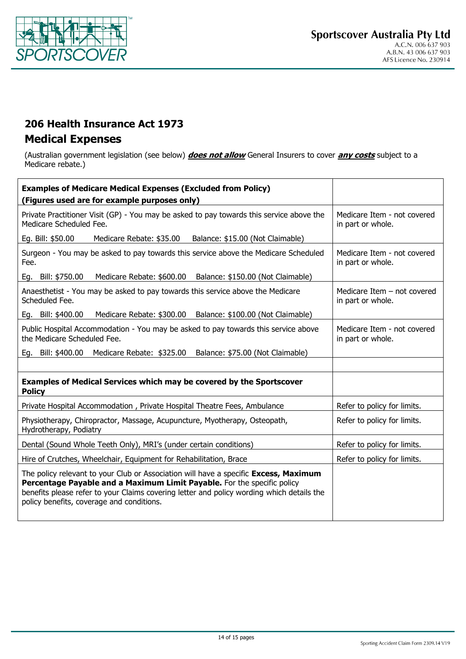

## **206 Health Insurance Act 1973 Medical Expenses**

(Australian government legislation (see below) *does not allow* General Insurers to cover *any costs* subject to a Medicare rebate.)

| <b>Examples of Medicare Medical Expenses (Excluded from Policy)</b><br>(Figures used are for example purposes only)                                                                                                                                                                                       |                                                    |
|-----------------------------------------------------------------------------------------------------------------------------------------------------------------------------------------------------------------------------------------------------------------------------------------------------------|----------------------------------------------------|
| Private Practitioner Visit (GP) - You may be asked to pay towards this service above the<br>Medicare Scheduled Fee.                                                                                                                                                                                       | Medicare Item - not covered<br>in part or whole.   |
| Eg. Bill: \$50.00<br>Medicare Rebate: \$35.00<br>Balance: \$15.00 (Not Claimable)                                                                                                                                                                                                                         |                                                    |
| Surgeon - You may be asked to pay towards this service above the Medicare Scheduled<br>Fee.                                                                                                                                                                                                               | Medicare Item - not covered<br>in part or whole.   |
| Eg. Bill: \$750.00<br>Medicare Rebate: \$600.00 Balance: \$150.00 (Not Claimable)                                                                                                                                                                                                                         |                                                    |
| Anaesthetist - You may be asked to pay towards this service above the Medicare<br>Scheduled Fee.                                                                                                                                                                                                          | Medicare Item $-$ not covered<br>in part or whole. |
| Medicare Rebate: \$300.00 Balance: \$100.00 (Not Claimable)<br>Eg. Bill: \$400.00                                                                                                                                                                                                                         |                                                    |
| Public Hospital Accommodation - You may be asked to pay towards this service above<br>the Medicare Scheduled Fee.                                                                                                                                                                                         | Medicare Item - not covered<br>in part or whole.   |
| Eg. Bill: \$400.00 Medicare Rebate: \$325.00 Balance: \$75.00 (Not Claimable)                                                                                                                                                                                                                             |                                                    |
|                                                                                                                                                                                                                                                                                                           |                                                    |
| Examples of Medical Services which may be covered by the Sportscover<br><b>Policy</b>                                                                                                                                                                                                                     |                                                    |
| Private Hospital Accommodation, Private Hospital Theatre Fees, Ambulance                                                                                                                                                                                                                                  | Refer to policy for limits.                        |
| Physiotherapy, Chiropractor, Massage, Acupuncture, Myotherapy, Osteopath,<br>Hydrotherapy, Podiatry                                                                                                                                                                                                       | Refer to policy for limits.                        |
| Dental (Sound Whole Teeth Only), MRI's (under certain conditions)                                                                                                                                                                                                                                         | Refer to policy for limits.                        |
| Hire of Crutches, Wheelchair, Equipment for Rehabilitation, Brace                                                                                                                                                                                                                                         | Refer to policy for limits.                        |
| The policy relevant to your Club or Association will have a specific Excess, Maximum<br>Percentage Payable and a Maximum Limit Payable. For the specific policy<br>benefits please refer to your Claims covering letter and policy wording which details the<br>policy benefits, coverage and conditions. |                                                    |